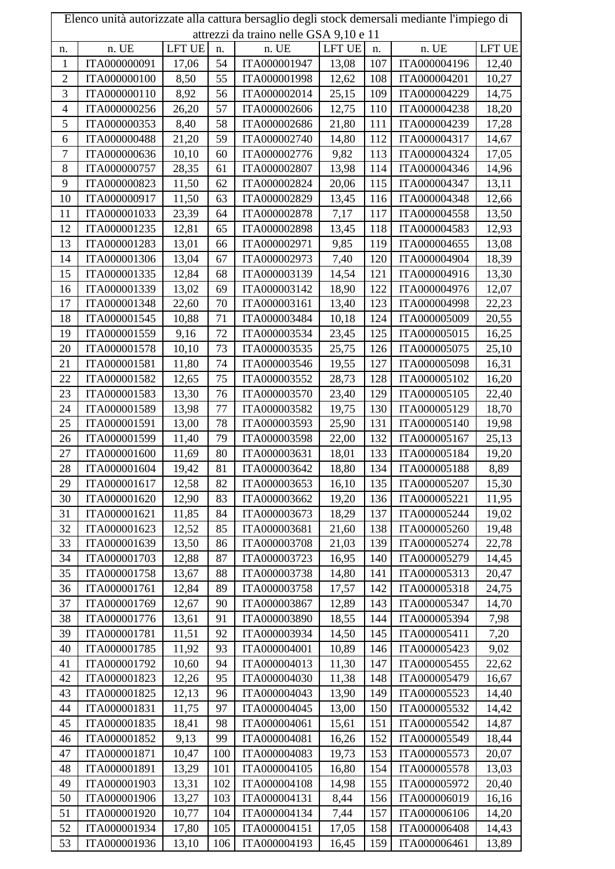| Elenco unità autorizzate alla cattura bersaglio degli stock demersali mediante l'impiego di |                                        |        |     |              |        |            |                              |        |  |
|---------------------------------------------------------------------------------------------|----------------------------------------|--------|-----|--------------|--------|------------|------------------------------|--------|--|
|                                                                                             | attrezzi da traino nelle GSA 9,10 e 11 |        |     |              |        |            |                              |        |  |
| n.                                                                                          | n. UE                                  | LFT UE | n.  | n. UE        | LFT UE | n.         | n. UE                        | LFT UE |  |
| $\mathbf{1}$                                                                                | ITA000000091                           | 17,06  | 54  | ITA000001947 | 13,08  | 107        | ITA000004196                 | 12,40  |  |
| $\overline{c}$                                                                              | ITA000000100                           | 8,50   | 55  | ITA000001998 | 12,62  | 108        | ITA000004201                 | 10,27  |  |
| 3                                                                                           | ITA000000110                           | 8,92   | 56  | ITA000002014 | 25,15  | 109        | ITA000004229                 | 14,75  |  |
| $\overline{\mathcal{A}}$                                                                    | ITA000000256                           | 26,20  | 57  | ITA000002606 | 12,75  | 110        | ITA000004238                 | 18,20  |  |
| 5                                                                                           | ITA000000353                           | 8,40   | 58  | ITA000002686 | 21,80  | 111        | ITA000004239                 | 17,28  |  |
| 6                                                                                           | ITA000000488                           | 21,20  | 59  | ITA000002740 | 14,80  | 112        | ITA000004317                 | 14,67  |  |
| $\tau$                                                                                      | ITA000000636                           | 10,10  | 60  | ITA000002776 | 9,82   | 113        | ITA000004324                 | 17,05  |  |
| 8                                                                                           | ITA000000757                           | 28,35  | 61  | ITA000002807 | 13,98  | 114        | ITA000004346                 | 14,96  |  |
| 9                                                                                           | ITA000000823                           | 11,50  | 62  | ITA000002824 | 20,06  | 115        | ITA000004347                 | 13,11  |  |
| 10                                                                                          | ITA000000917                           | 11,50  | 63  | ITA000002829 | 13,45  | 116        | ITA000004348                 | 12,66  |  |
| 11                                                                                          | ITA000001033                           | 23,39  | 64  | ITA000002878 | 7,17   | 117        | ITA000004558                 | 13,50  |  |
| 12                                                                                          | ITA000001235                           | 12,81  | 65  | ITA000002898 | 13,45  | 118        | ITA000004583                 | 12,93  |  |
| 13                                                                                          | ITA000001283                           | 13,01  | 66  | ITA000002971 | 9,85   | 119        | ITA000004655                 | 13,08  |  |
| 14                                                                                          | ITA000001306                           | 13,04  | 67  | ITA000002973 | 7,40   | 120        | ITA000004904                 | 18,39  |  |
| 15                                                                                          | ITA000001335                           | 12,84  | 68  | ITA000003139 | 14,54  | 121        | ITA000004916                 | 13,30  |  |
| 16                                                                                          | ITA000001339                           | 13,02  | 69  | ITA000003142 | 18,90  | 122        | ITA000004976                 | 12,07  |  |
| 17                                                                                          | ITA000001348                           | 22,60  | 70  | ITA000003161 | 13,40  | 123        | ITA000004998                 | 22,23  |  |
| 18                                                                                          | ITA000001545                           | 10,88  | 71  | ITA000003484 | 10,18  | 124        | ITA000005009                 | 20,55  |  |
| 19                                                                                          | ITA000001559                           | 9,16   | 72  | ITA000003534 | 23,45  | 125        | ITA000005015                 | 16,25  |  |
| 20                                                                                          | ITA000001578                           | 10,10  | 73  | ITA000003535 | 25,75  | 126        | ITA000005075                 | 25,10  |  |
| 21                                                                                          | ITA000001581                           | 11,80  | 74  | ITA000003546 | 19,55  | 127        | ITA000005098                 | 16,31  |  |
| 22                                                                                          | ITA000001582                           | 12,65  | 75  | ITA000003552 | 28,73  | 128        | ITA000005102                 | 16,20  |  |
| 23                                                                                          | ITA000001583                           | 13,30  | 76  | ITA000003570 | 23,40  | 129        | ITA000005105                 | 22,40  |  |
| 24                                                                                          | ITA000001589                           | 13,98  | 77  | ITA000003582 | 19,75  | 130        | ITA000005129                 | 18,70  |  |
| 25                                                                                          | ITA000001591                           | 13,00  | 78  | ITA000003593 | 25,90  | 131        | ITA000005140                 | 19,98  |  |
| 26                                                                                          | ITA000001599                           | 11,40  | 79  | ITA000003598 | 22,00  | 132        | ITA000005167                 | 25,13  |  |
| 27                                                                                          | ITA000001600                           | 11,69  | 80  | ITA000003631 | 18,01  | 133        | ITA000005184                 | 19,20  |  |
| 28                                                                                          | ITA000001604                           | 19,42  | 81  | ITA000003642 | 18,80  | 134        | ITA000005188                 | 8,89   |  |
| 29                                                                                          | ITA000001617                           | 12,58  | 82  | ITA000003653 | 16,10  | 135        | ITA000005207                 | 15,30  |  |
| 30                                                                                          | ITA000001620                           | 12,90  | 83  | ITA000003662 | 19,20  | 136        | ITA000005221                 | 11,95  |  |
| 31                                                                                          | ITA000001621                           | 11,85  | 84  | ITA000003673 | 18,29  | 137        | ITA000005244                 | 19,02  |  |
| 32                                                                                          | ITA000001623                           | 12,52  | 85  | ITA000003681 | 21,60  | 138        | ITA000005260                 | 19,48  |  |
| 33                                                                                          | ITA000001639                           | 13,50  | 86  | ITA000003708 | 21,03  | 139        | ITA000005274                 | 22,78  |  |
| 34                                                                                          | ITA000001703                           | 12,88  | 87  | ITA000003723 | 16,95  | 140        | ITA000005279                 | 14,45  |  |
| 35                                                                                          | ITA000001758                           | 13,67  | 88  | ITA000003738 | 14,80  | 141        | ITA000005313                 | 20,47  |  |
| 36                                                                                          | ITA000001761                           | 12,84  | 89  | ITA000003758 | 17,57  | 142        | ITA000005318                 | 24,75  |  |
| 37                                                                                          | ITA000001769                           | 12,67  | 90  | ITA000003867 | 12,89  | 143        | ITA000005347                 | 14,70  |  |
| 38                                                                                          | ITA000001776                           | 13,61  | 91  | ITA000003890 | 18,55  | 144        | ITA000005394                 | 7,98   |  |
| 39                                                                                          | ITA000001781                           | 11,51  | 92  | ITA000003934 | 14,50  | 145        | ITA000005411                 | 7,20   |  |
| 40                                                                                          | ITA000001785                           | 11,92  | 93  | ITA000004001 | 10,89  | 146        | ITA000005423                 | 9,02   |  |
| 41                                                                                          | ITA000001792                           | 10,60  | 94  | ITA000004013 | 11,30  | 147        | ITA000005455                 | 22,62  |  |
| 42                                                                                          | ITA000001823                           | 12,26  | 95  | ITA000004030 | 11,38  | 148        | ITA000005479                 | 16,67  |  |
| 43                                                                                          | ITA000001825                           | 12,13  | 96  | ITA000004043 | 13,90  | 149        | ITA000005523                 | 14,40  |  |
| 44                                                                                          | ITA000001831                           | 11,75  | 97  | ITA000004045 | 13,00  | 150        | ITA000005532                 | 14,42  |  |
| 45                                                                                          | ITA000001835                           | 18,41  | 98  | ITA000004061 | 15,61  | 151        | ITA000005542                 | 14,87  |  |
| 46                                                                                          | ITA000001852                           | 9,13   | 99  | ITA000004081 | 16,26  | 152        | ITA000005549                 | 18,44  |  |
| 47                                                                                          | ITA000001871                           | 10,47  | 100 | ITA000004083 | 19,73  | 153        | ITA000005573                 | 20,07  |  |
| 48                                                                                          | ITA000001891                           | 13,29  | 101 | ITA000004105 | 16,80  | 154        | ITA000005578                 | 13,03  |  |
| 49                                                                                          | ITA000001903                           | 13,31  | 102 | ITA000004108 | 14,98  | 155        | ITA000005972                 | 20,40  |  |
| 50                                                                                          | ITA000001906                           | 13,27  | 103 | ITA000004131 | 8,44   | 156        | ITA000006019                 | 16,16  |  |
| 51                                                                                          |                                        |        | 104 | ITA000004134 |        |            |                              |        |  |
| 52                                                                                          | ITA000001920<br>ITA000001934           | 10,77  | 105 | ITA000004151 | 7,44   | 157<br>158 | ITA000006106<br>ITA000006408 | 14,20  |  |
|                                                                                             |                                        | 17,80  |     |              | 17,05  |            |                              | 14,43  |  |
| 53                                                                                          | ITA000001936                           | 13,10  | 106 | ITA000004193 | 16,45  | 159        | ITA000006461                 | 13,89  |  |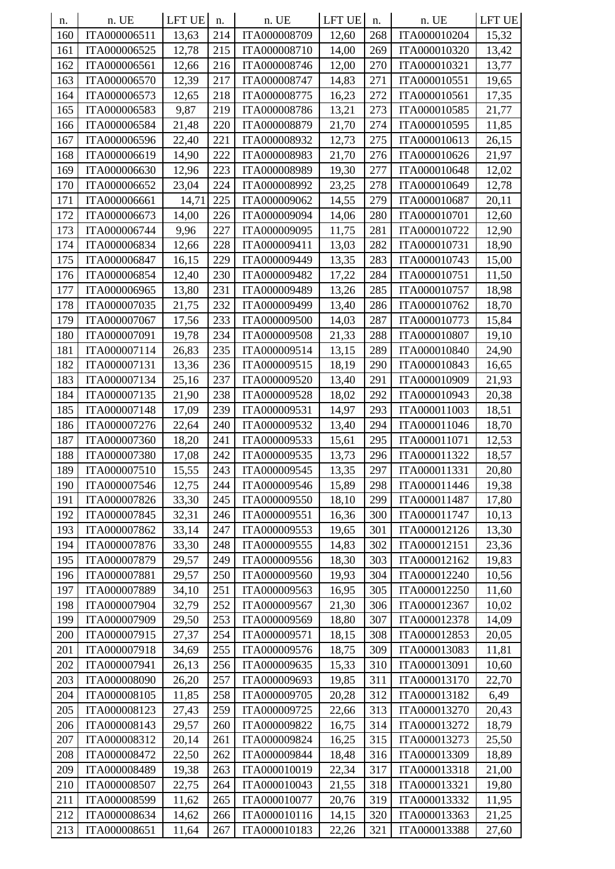| n.  | n. UE        | LFT UE | n.  | n. UE        | <b>LFT UE</b> | n.  | n. UE        | <b>LFT UE</b> |
|-----|--------------|--------|-----|--------------|---------------|-----|--------------|---------------|
| 160 | ITA000006511 | 13,63  | 214 | ITA000008709 | 12,60         | 268 | ITA000010204 | 15,32         |
| 161 | ITA000006525 | 12,78  | 215 | ITA000008710 | 14,00         | 269 | ITA000010320 | 13,42         |
| 162 | ITA000006561 | 12,66  | 216 | ITA000008746 | 12,00         | 270 | ITA000010321 | 13,77         |
| 163 | ITA000006570 | 12,39  | 217 | ITA000008747 | 14,83         | 271 | ITA000010551 | 19,65         |
| 164 | ITA000006573 | 12,65  | 218 | ITA000008775 | 16,23         | 272 | ITA000010561 | 17,35         |
| 165 | ITA000006583 | 9,87   | 219 | ITA000008786 | 13,21         | 273 | ITA000010585 | 21,77         |
| 166 | ITA000006584 | 21,48  | 220 | ITA000008879 | 21,70         | 274 | ITA000010595 | 11,85         |
| 167 | ITA000006596 | 22,40  | 221 | ITA000008932 | 12,73         | 275 | ITA000010613 | 26,15         |
| 168 | ITA000006619 | 14,90  | 222 | ITA000008983 | 21,70         | 276 | ITA000010626 | 21,97         |
| 169 | ITA000006630 | 12,96  | 223 | ITA000008989 | 19,30         | 277 | ITA000010648 | 12,02         |
| 170 | ITA000006652 | 23,04  | 224 | ITA000008992 | 23,25         | 278 | ITA000010649 | 12,78         |
| 171 | ITA000006661 | 14,71  | 225 | ITA000009062 | 14,55         | 279 | ITA000010687 | 20,11         |
| 172 | ITA000006673 | 14,00  | 226 | ITA000009094 | 14,06         | 280 | ITA000010701 | 12,60         |
| 173 | ITA000006744 | 9,96   | 227 | ITA000009095 | 11,75         | 281 | ITA000010722 | 12,90         |
| 174 | ITA000006834 | 12,66  | 228 | ITA000009411 | 13,03         | 282 | ITA000010731 | 18,90         |
| 175 | ITA000006847 | 16,15  | 229 | ITA000009449 | 13,35         | 283 | ITA000010743 | 15,00         |
| 176 | ITA000006854 | 12,40  | 230 | ITA000009482 | 17,22         | 284 | ITA000010751 | 11,50         |
| 177 | ITA000006965 | 13,80  | 231 | ITA000009489 | 13,26         | 285 | ITA000010757 | 18,98         |
| 178 | ITA000007035 | 21,75  | 232 | ITA000009499 | 13,40         | 286 | ITA000010762 | 18,70         |
| 179 | ITA000007067 | 17,56  | 233 | ITA000009500 | 14,03         | 287 | ITA000010773 | 15,84         |
| 180 | ITA000007091 | 19,78  | 234 | ITA000009508 | 21,33         | 288 | ITA000010807 | 19,10         |
| 181 | ITA000007114 | 26,83  | 235 | ITA000009514 | 13,15         | 289 | ITA000010840 | 24,90         |
| 182 | ITA000007131 | 13,36  | 236 | ITA000009515 | 18,19         | 290 | ITA000010843 | 16,65         |
| 183 | ITA000007134 | 25,16  | 237 | ITA000009520 | 13,40         | 291 | ITA000010909 | 21,93         |
| 184 | ITA000007135 | 21,90  | 238 | ITA000009528 | 18,02         | 292 | ITA000010943 | 20,38         |
| 185 | ITA000007148 | 17,09  | 239 | ITA000009531 | 14,97         | 293 | ITA000011003 | 18,51         |
| 186 | ITA000007276 | 22,64  | 240 | ITA000009532 | 13,40         | 294 | ITA000011046 | 18,70         |
| 187 | ITA000007360 | 18,20  | 241 | ITA000009533 | 15,61         | 295 | ITA000011071 | 12,53         |
| 188 | ITA000007380 | 17,08  | 242 | ITA000009535 | 13,73         | 296 | ITA000011322 | 18,57         |
| 189 | ITA000007510 | 15,55  | 243 | ITA000009545 | 13,35         | 297 | ITA000011331 | 20,80         |
| 190 | ITA000007546 | 12,75  | 244 | ITA000009546 | 15,89         | 298 | ITA000011446 | 19,38         |
| 191 | ITA000007826 | 33,30  | 245 | ITA000009550 | 18,10         | 299 | ITA000011487 | 17,80         |
| 192 | ITA000007845 | 32,31  | 246 | ITA000009551 | 16,36         | 300 | ITA000011747 | 10,13         |
| 193 | ITA000007862 | 33,14  | 247 | ITA000009553 | 19,65         | 301 | ITA000012126 | 13,30         |
| 194 | ITA000007876 | 33,30  | 248 | ITA000009555 | 14,83         | 302 | ITA000012151 | 23,36         |
| 195 | ITA000007879 | 29,57  | 249 | ITA000009556 | 18,30         | 303 | ITA000012162 | 19,83         |
| 196 | ITA000007881 | 29,57  | 250 | ITA000009560 | 19,93         | 304 | ITA000012240 | 10,56         |
| 197 | ITA000007889 | 34,10  | 251 | ITA000009563 | 16,95         | 305 | ITA000012250 | 11,60         |
| 198 | ITA000007904 | 32,79  | 252 | ITA000009567 | 21,30         | 306 | ITA000012367 | 10,02         |
| 199 | ITA000007909 | 29,50  | 253 | ITA000009569 | 18,80         | 307 | ITA000012378 | 14,09         |
| 200 | ITA000007915 | 27,37  | 254 | ITA000009571 | 18,15         | 308 | ITA000012853 | 20,05         |
| 201 | ITA000007918 | 34,69  | 255 | ITA000009576 | 18,75         | 309 | ITA000013083 | 11,81         |
| 202 | ITA000007941 | 26,13  | 256 | ITA000009635 | 15,33         | 310 | ITA000013091 | 10,60         |
| 203 | ITA000008090 | 26,20  | 257 | ITA000009693 | 19,85         | 311 | ITA000013170 | 22,70         |
| 204 | ITA000008105 | 11,85  | 258 | ITA000009705 | 20,28         | 312 | ITA000013182 | 6,49          |
| 205 | ITA000008123 | 27,43  | 259 | ITA000009725 | 22,66         | 313 | ITA000013270 | 20,43         |
| 206 | ITA000008143 | 29,57  | 260 | ITA000009822 | 16,75         | 314 | ITA000013272 | 18,79         |
| 207 | ITA000008312 | 20,14  | 261 | ITA000009824 | 16,25         | 315 | ITA000013273 | 25,50         |
| 208 | ITA000008472 | 22,50  | 262 | ITA000009844 | 18,48         | 316 | ITA000013309 | 18,89         |
| 209 | ITA000008489 | 19,38  | 263 | ITA000010019 | 22,34         | 317 | ITA000013318 | 21,00         |
| 210 | ITA000008507 | 22,75  | 264 | ITA000010043 | 21,55         | 318 | ITA000013321 | 19,80         |
| 211 | ITA000008599 | 11,62  | 265 | ITA000010077 | 20,76         | 319 | ITA000013332 | 11,95         |
| 212 | ITA000008634 | 14,62  | 266 | ITA000010116 | 14,15         | 320 | ITA000013363 | 21,25         |
| 213 | ITA000008651 | 11,64  | 267 | ITA000010183 | 22,26         | 321 | ITA000013388 | 27,60         |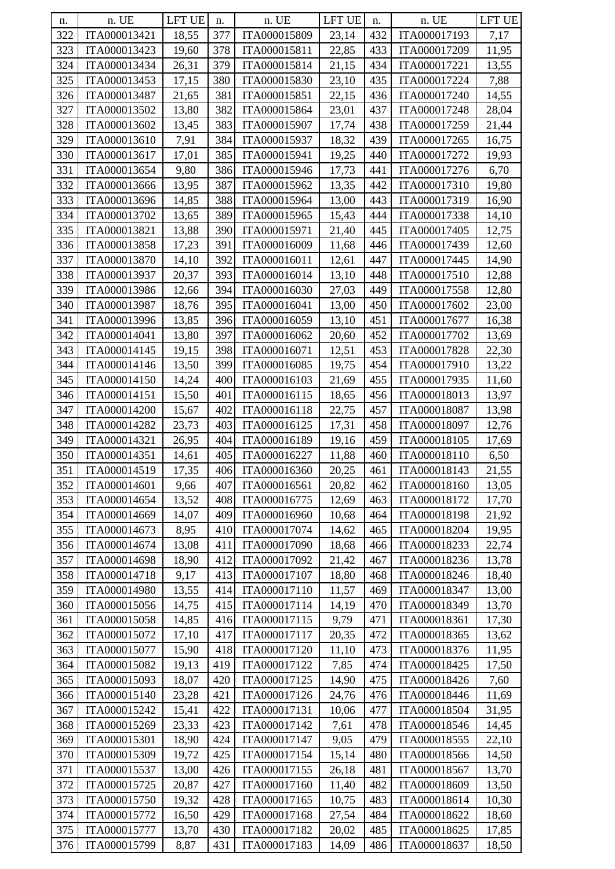| n.  | n. UE                        | <b>LFT UE</b> | n.  | n. UE                        | LFT UE | n.  | n. UE                        | <b>LFT UE</b> |
|-----|------------------------------|---------------|-----|------------------------------|--------|-----|------------------------------|---------------|
| 322 | ITA000013421                 | 18,55         | 377 | ITA000015809                 | 23,14  | 432 | ITA000017193                 | 7,17          |
| 323 | ITA000013423                 | 19,60         | 378 | ITA000015811                 | 22,85  | 433 | ITA000017209                 | 11,95         |
| 324 | ITA000013434                 | 26,31         | 379 | ITA000015814                 | 21,15  | 434 | ITA000017221                 | 13,55         |
| 325 | ITA000013453                 | 17,15         | 380 | ITA000015830                 | 23,10  | 435 | ITA000017224                 | 7,88          |
| 326 | ITA000013487                 | 21,65         | 381 | ITA000015851                 | 22,15  | 436 | ITA000017240                 | 14,55         |
| 327 | ITA000013502                 | 13,80         | 382 | ITA000015864                 | 23,01  | 437 | ITA000017248                 | 28,04         |
| 328 | ITA000013602                 | 13,45         | 383 | ITA000015907                 | 17,74  | 438 | ITA000017259                 | 21,44         |
| 329 | ITA000013610                 | 7,91          | 384 | ITA000015937                 | 18,32  | 439 | ITA000017265                 | 16,75         |
| 330 | ITA000013617                 | 17,01         | 385 | ITA000015941                 | 19,25  | 440 | ITA000017272                 | 19,93         |
| 331 | ITA000013654                 | 9,80          | 386 | ITA000015946                 | 17,73  | 441 | ITA000017276                 | 6,70          |
| 332 | ITA000013666                 | 13,95         | 387 | ITA000015962                 | 13,35  | 442 | ITA000017310                 | 19,80         |
| 333 | ITA000013696                 | 14,85         | 388 | ITA000015964                 | 13,00  | 443 | ITA000017319                 | 16,90         |
| 334 | ITA000013702                 | 13,65         | 389 | ITA000015965                 | 15,43  | 444 | ITA000017338                 | 14,10         |
| 335 | ITA000013821                 | 13,88         | 390 | ITA000015971                 | 21,40  | 445 | ITA000017405                 | 12,75         |
| 336 | ITA000013858                 | 17,23         | 391 | ITA000016009                 | 11,68  | 446 | ITA000017439                 | 12,60         |
| 337 | ITA000013870                 | 14,10         | 392 | ITA000016011                 | 12,61  | 447 | ITA000017445                 | 14,90         |
| 338 | ITA000013937                 | 20,37         | 393 | ITA000016014                 | 13,10  | 448 | ITA000017510                 | 12,88         |
| 339 | ITA000013986                 | 12,66         | 394 | ITA000016030                 | 27,03  | 449 | ITA000017558                 | 12,80         |
| 340 | ITA000013987                 | 18,76         | 395 | ITA000016041                 | 13,00  | 450 | ITA000017602                 | 23,00         |
| 341 | ITA000013996                 | 13,85         | 396 | ITA000016059                 | 13,10  | 451 | ITA000017677                 | 16,38         |
| 342 | ITA000014041                 | 13,80         | 397 | ITA000016062                 | 20,60  | 452 | ITA000017702                 | 13,69         |
| 343 | ITA000014145                 | 19,15         | 398 | ITA000016071                 | 12,51  | 453 | ITA000017828                 | 22,30         |
| 344 | ITA000014146                 | 13,50         | 399 | ITA000016085                 | 19,75  | 454 | ITA000017910                 | 13,22         |
| 345 | ITA000014150                 | 14,24         | 400 | ITA000016103                 | 21,69  | 455 | ITA000017935                 | 11,60         |
| 346 | ITA000014151                 | 15,50         | 401 | ITA000016115                 | 18,65  | 456 | ITA000018013                 | 13,97         |
| 347 | ITA000014200                 | 15,67         | 402 | ITA000016118                 | 22,75  | 457 | ITA000018087                 | 13,98         |
| 348 | ITA000014282                 | 23,73         | 403 | ITA000016125                 | 17,31  | 458 | ITA000018097                 | 12,76         |
| 349 | ITA000014321                 | 26,95         | 404 | ITA000016189                 | 19,16  | 459 | ITA000018105                 | 17,69         |
| 350 | ITA000014351                 | 14,61         | 405 | ITA000016227                 | 11,88  | 460 | ITA000018110                 | 6,50          |
| 351 | ITA000014519                 | 17,35         | 406 | ITA000016360                 | 20,25  | 461 | ITA000018143                 | 21,55         |
| 352 | ITA000014601                 | 9,66          | 407 | ITA000016561                 | 20,82  | 462 | ITA000018160                 | 13,05         |
| 353 | ITA000014654                 | 13,52         | 408 | ITA000016775                 | 12,69  | 463 | ITA000018172                 | 17,70         |
| 354 | ITA000014669                 | 14,07         | 409 | ITA000016960                 | 10,68  | 464 | ITA000018198                 | 21,92         |
| 355 | ITA000014673                 | 8,95          | 410 | ITA000017074                 | 14,62  | 465 | ITA000018204                 | 19,95         |
| 356 | ITA000014674                 | 13,08         | 411 | ITA000017090                 | 18,68  | 466 | ITA000018233                 | 22,74         |
| 357 | ITA000014698                 | 18,90         | 412 | ITA000017092                 | 21,42  | 467 | ITA000018236                 | 13,78         |
| 358 | ITA000014718                 | 9,17          | 413 | ITA000017107                 | 18,80  | 468 | ITA000018246                 | 18,40         |
| 359 | ITA000014980                 | 13,55         | 414 | ITA000017110                 | 11,57  | 469 | ITA000018347                 | 13,00         |
| 360 | ITA000015056                 | 14,75         | 415 | ITA000017114                 | 14,19  | 470 | ITA000018349                 | 13,70         |
| 361 | ITA000015058                 | 14,85         | 416 | ITA000017115                 | 9,79   | 471 | ITA000018361                 | 17,30         |
| 362 | ITA000015072                 | 17,10         | 417 | ITA000017117                 | 20,35  | 472 | ITA000018365                 | 13,62         |
| 363 | ITA000015077                 |               | 418 | ITA000017120                 |        | 473 | ITA000018376                 |               |
| 364 |                              | 15,90         | 419 |                              | 11,10  | 474 |                              | 11,95         |
| 365 | ITA000015082<br>ITA000015093 | 19,13         | 420 | ITA000017122<br>ITA000017125 | 7,85   | 475 | ITA000018425<br>ITA000018426 | 17,50<br>7,60 |
|     |                              | 18,07         |     |                              | 14,90  |     |                              |               |
| 366 | ITA000015140                 | 23,28         | 421 | ITA000017126                 | 24,76  | 476 | ITA000018446                 | 11,69         |
| 367 | ITA000015242                 | 15,41         | 422 | ITA000017131                 | 10,06  | 477 | ITA000018504                 | 31,95         |
| 368 | ITA000015269                 | 23,33         | 423 | ITA000017142                 | 7,61   | 478 | ITA000018546                 | 14,45         |
| 369 | ITA000015301                 | 18,90         | 424 | ITA000017147                 | 9,05   | 479 | ITA000018555                 | 22,10         |
| 370 | ITA000015309                 | 19,72         | 425 | ITA000017154                 | 15,14  | 480 | ITA000018566                 | 14,50         |
| 371 | ITA000015537                 | 13,00         | 426 | ITA000017155                 | 26,18  | 481 | ITA000018567                 | 13,70         |
| 372 | ITA000015725                 | 20,87         | 427 | ITA000017160                 | 11,40  | 482 | ITA000018609                 | 13,50         |
| 373 | ITA000015750                 | 19,32         | 428 | ITA000017165                 | 10,75  | 483 | ITA000018614                 | 10,30         |
| 374 | ITA000015772                 | 16,50         | 429 | ITA000017168                 | 27,54  | 484 | ITA000018622                 | 18,60         |
| 375 | ITA000015777                 | 13,70         | 430 | ITA000017182                 | 20,02  | 485 | ITA000018625                 | 17,85         |
| 376 | ITA000015799                 | 8,87          | 431 | ITA000017183                 | 14,09  | 486 | ITA000018637                 | 18,50         |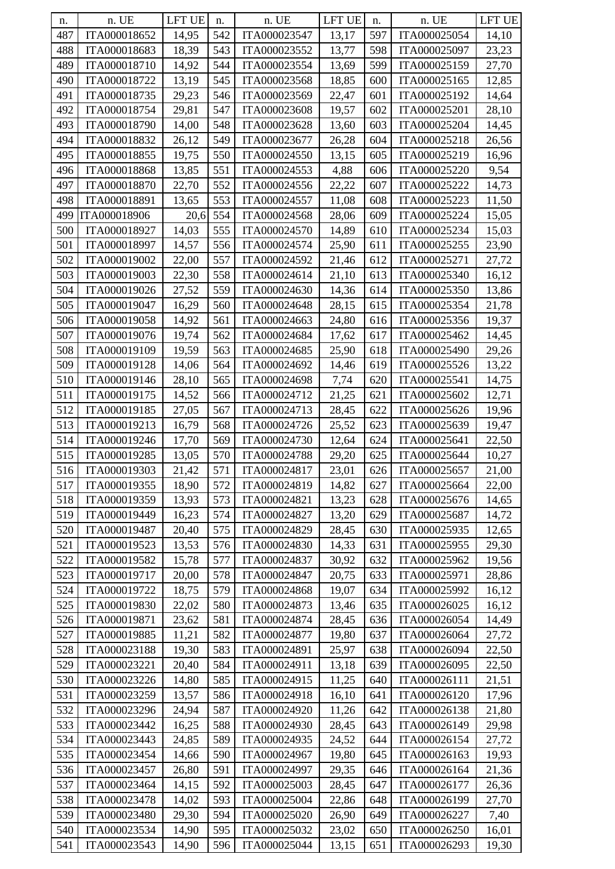| n.  | n. UE        | LFT UE | n.  | n. UE        | LFT UE | n.  | n. UE        | LFT UE |
|-----|--------------|--------|-----|--------------|--------|-----|--------------|--------|
| 487 | ITA000018652 | 14,95  | 542 | ITA000023547 | 13,17  | 597 | ITA000025054 | 14,10  |
| 488 | ITA000018683 | 18,39  | 543 | ITA000023552 | 13,77  | 598 | ITA000025097 | 23,23  |
| 489 | ITA000018710 | 14,92  | 544 | ITA000023554 | 13,69  | 599 | ITA000025159 | 27,70  |
| 490 | ITA000018722 | 13,19  | 545 | ITA000023568 | 18,85  | 600 | ITA000025165 | 12,85  |
| 491 | ITA000018735 | 29,23  | 546 | ITA000023569 | 22,47  | 601 | ITA000025192 | 14,64  |
| 492 | ITA000018754 | 29,81  | 547 | ITA000023608 | 19,57  | 602 | ITA000025201 | 28,10  |
| 493 | ITA000018790 | 14,00  | 548 | ITA000023628 | 13,60  | 603 | ITA000025204 | 14,45  |
| 494 | ITA000018832 | 26,12  | 549 | ITA000023677 | 26,28  | 604 | ITA000025218 | 26,56  |
| 495 | ITA000018855 | 19,75  | 550 | ITA000024550 | 13,15  | 605 | ITA000025219 | 16,96  |
| 496 | ITA000018868 | 13,85  | 551 | ITA000024553 | 4,88   | 606 | ITA000025220 | 9,54   |
| 497 | ITA000018870 | 22,70  | 552 | ITA000024556 | 22,22  | 607 | ITA000025222 | 14,73  |
| 498 | ITA000018891 | 13,65  | 553 | ITA000024557 | 11,08  | 608 | ITA000025223 | 11,50  |
| 499 | ITA000018906 | 20,6   | 554 | ITA000024568 | 28,06  | 609 | ITA000025224 | 15,05  |
| 500 | ITA000018927 | 14,03  | 555 | ITA000024570 | 14,89  | 610 | ITA000025234 | 15,03  |
| 501 | ITA000018997 | 14,57  | 556 | ITA000024574 | 25,90  | 611 | ITA000025255 | 23,90  |
| 502 | ITA000019002 | 22,00  | 557 | ITA000024592 | 21,46  | 612 | ITA000025271 | 27,72  |
| 503 | ITA000019003 |        | 558 | ITA000024614 |        | 613 | ITA000025340 |        |
| 504 |              | 22,30  | 559 | ITA000024630 | 21,10  | 614 | ITA000025350 | 16,12  |
|     | ITA000019026 | 27,52  |     |              | 14,36  |     |              | 13,86  |
| 505 | ITA000019047 | 16,29  | 560 | ITA000024648 | 28,15  | 615 | ITA000025354 | 21,78  |
| 506 | ITA000019058 | 14,92  | 561 | ITA000024663 | 24,80  | 616 | ITA000025356 | 19,37  |
| 507 | ITA000019076 | 19,74  | 562 | ITA000024684 | 17,62  | 617 | ITA000025462 | 14,45  |
| 508 | ITA000019109 | 19,59  | 563 | ITA000024685 | 25,90  | 618 | ITA000025490 | 29,26  |
| 509 | ITA000019128 | 14,06  | 564 | ITA000024692 | 14,46  | 619 | ITA000025526 | 13,22  |
| 510 | ITA000019146 | 28,10  | 565 | ITA000024698 | 7,74   | 620 | ITA000025541 | 14,75  |
| 511 | ITA000019175 | 14,52  | 566 | ITA000024712 | 21,25  | 621 | ITA000025602 | 12,71  |
| 512 | ITA000019185 | 27,05  | 567 | ITA000024713 | 28,45  | 622 | ITA000025626 | 19,96  |
| 513 | ITA000019213 | 16,79  | 568 | ITA000024726 | 25,52  | 623 | ITA000025639 | 19,47  |
| 514 | ITA000019246 | 17,70  | 569 | ITA000024730 | 12,64  | 624 | ITA000025641 | 22,50  |
| 515 | ITA000019285 | 13,05  | 570 | ITA000024788 | 29,20  | 625 | ITA000025644 | 10,27  |
| 516 | ITA000019303 | 21,42  | 571 | ITA000024817 | 23,01  | 626 | ITA000025657 | 21,00  |
| 517 | ITA000019355 | 18,90  | 572 | ITA000024819 | 14,82  | 627 | ITA000025664 | 22,00  |
| 518 | ITA000019359 | 13,93  | 573 | ITA000024821 | 13,23  | 628 | ITA000025676 | 14,65  |
| 519 | ITA000019449 | 16,23  | 574 | ITA000024827 | 13,20  | 629 | ITA000025687 | 14,72  |
| 520 | ITA000019487 | 20,40  | 575 | ITA000024829 | 28,45  | 630 | ITA000025935 | 12,65  |
| 521 | ITA000019523 | 13,53  | 576 | ITA000024830 | 14,33  | 631 | ITA000025955 | 29,30  |
| 522 | ITA000019582 | 15,78  | 577 | ITA000024837 | 30,92  | 632 | ITA000025962 | 19,56  |
| 523 | ITA000019717 | 20,00  | 578 | ITA000024847 | 20,75  | 633 | ITA000025971 | 28,86  |
| 524 | ITA000019722 | 18,75  | 579 | ITA000024868 | 19,07  | 634 | ITA000025992 | 16,12  |
| 525 | ITA000019830 | 22,02  | 580 | ITA000024873 | 13,46  | 635 | ITA000026025 | 16,12  |
| 526 | ITA000019871 | 23,62  | 581 | ITA000024874 | 28,45  | 636 | ITA000026054 | 14,49  |
| 527 | ITA000019885 | 11,21  | 582 | ITA000024877 | 19,80  | 637 | ITA000026064 | 27,72  |
| 528 | ITA000023188 | 19,30  | 583 | ITA000024891 | 25,97  | 638 | ITA000026094 | 22,50  |
| 529 | ITA000023221 | 20,40  | 584 | ITA000024911 | 13,18  | 639 | ITA000026095 | 22,50  |
| 530 | ITA000023226 | 14,80  | 585 | ITA000024915 | 11,25  | 640 | ITA000026111 | 21,51  |
| 531 | ITA000023259 | 13,57  | 586 | ITA000024918 | 16,10  | 641 | ITA000026120 | 17,96  |
| 532 | ITA000023296 | 24,94  | 587 | ITA000024920 | 11,26  | 642 | ITA000026138 | 21,80  |
| 533 | ITA000023442 | 16,25  | 588 | ITA000024930 | 28,45  | 643 | ITA000026149 | 29,98  |
| 534 | ITA000023443 | 24,85  | 589 | ITA000024935 | 24,52  | 644 | ITA000026154 | 27,72  |
| 535 | ITA000023454 | 14,66  | 590 | ITA000024967 | 19,80  | 645 | ITA000026163 | 19,93  |
| 536 | ITA000023457 | 26,80  | 591 | ITA000024997 | 29,35  | 646 | ITA000026164 | 21,36  |
| 537 | ITA000023464 | 14,15  | 592 | ITA000025003 | 28,45  | 647 | ITA000026177 | 26,36  |
| 538 | ITA000023478 | 14,02  | 593 | ITA000025004 | 22,86  | 648 | ITA000026199 | 27,70  |
| 539 | ITA000023480 | 29,30  | 594 | ITA000025020 | 26,90  | 649 | ITA000026227 | 7,40   |
| 540 | ITA000023534 | 14,90  | 595 | ITA000025032 | 23,02  | 650 | ITA000026250 | 16,01  |
| 541 | ITA000023543 | 14,90  | 596 | ITA000025044 | 13,15  | 651 | ITA000026293 | 19,30  |